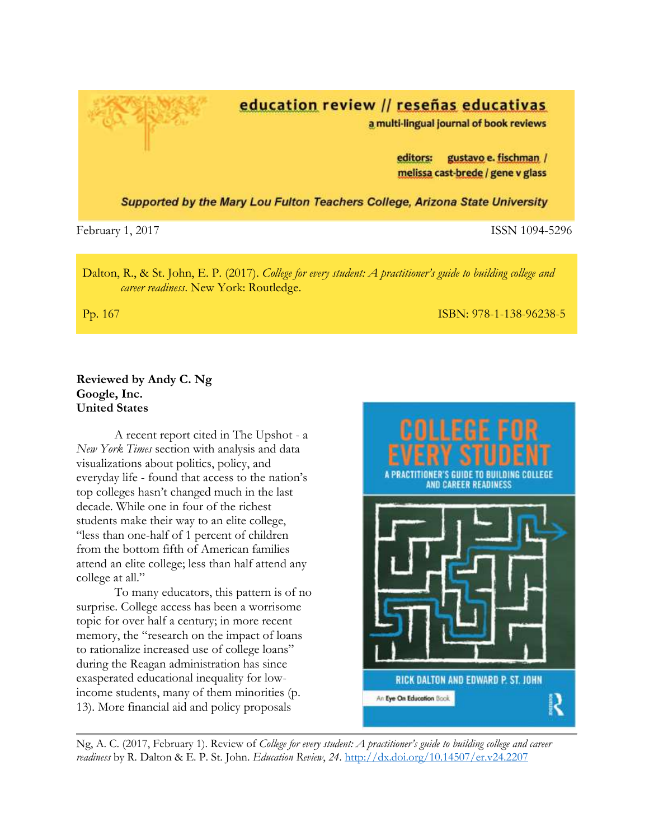

February 1, 2017 **ISSN 1094-5296** 

Dalton, R., & St. John, E. P. (2017). *College for every student: A practitioner's guide to building college and career readiness*. New York: Routledge.

Pp. 167 ISBN: 978-1-138-96238-5

## **Reviewed by Andy C. Ng Google, Inc. United States**

A recent report cited in The Upshot - a *New York Times* section with analysis and data visualizations about politics, policy, and everyday life - found that access to the nation's top colleges hasn't changed much in the last decade. While one in four of the richest students make their way to an elite college, "less than one-half of 1 percent of children from the bottom fifth of American families attend an elite college; less than half attend any college at all."

To many educators, this pattern is of no surprise. College access has been a worrisome topic for over half a century; in more recent memory, the "research on the impact of loans to rationalize increased use of college loans" during the Reagan administration has since exasperated educational inequality for lowincome students, many of them minorities (p. 13). More financial aid and policy proposals



Ng, A. C. (2017, February 1). Review of *College for every student: A practitioner's guide to building college and career readiness* by R. Dalton & E. P. St. John. *Education Review*, *24*. <http://dx.doi.org/10.14507/er.v24.2207>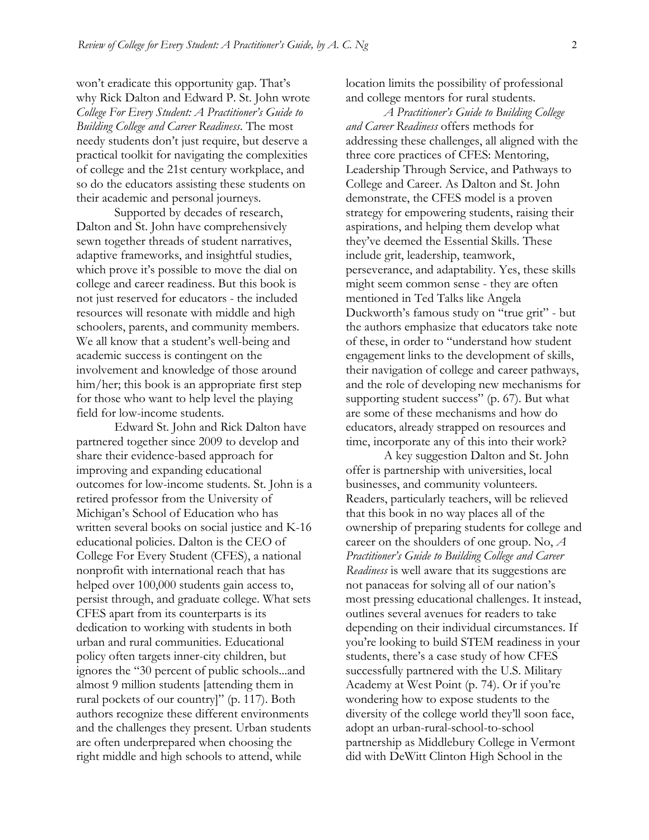won't eradicate this opportunity gap. That's why Rick Dalton and Edward P. St. John wrote *College For Every Student: A Practitioner's Guide to Building College and Career Readiness*. The most needy students don't just require, but deserve a practical toolkit for navigating the complexities of college and the 21st century workplace, and so do the educators assisting these students on their academic and personal journeys.

Supported by decades of research, Dalton and St. John have comprehensively sewn together threads of student narratives, adaptive frameworks, and insightful studies, which prove it's possible to move the dial on college and career readiness. But this book is not just reserved for educators - the included resources will resonate with middle and high schoolers, parents, and community members. We all know that a student's well-being and academic success is contingent on the involvement and knowledge of those around him/her; this book is an appropriate first step for those who want to help level the playing field for low-income students.

Edward St. John and Rick Dalton have partnered together since 2009 to develop and share their evidence-based approach for improving and expanding educational outcomes for low-income students. St. John is a retired professor from the University of Michigan's School of Education who has written several books on social justice and K-16 educational policies. Dalton is the CEO of College For Every Student (CFES), a national nonprofit with international reach that has helped over 100,000 students gain access to, persist through, and graduate college. What sets CFES apart from its counterparts is its dedication to working with students in both urban and rural communities. Educational policy often targets inner-city children, but ignores the "30 percent of public schools...and almost 9 million students [attending them in rural pockets of our country]" (p. 117). Both authors recognize these different environments and the challenges they present. Urban students are often underprepared when choosing the right middle and high schools to attend, while

location limits the possibility of professional and college mentors for rural students.

*A Practitioner's Guide to Building College and Career Readiness* offers methods for addressing these challenges, all aligned with the three core practices of CFES: Mentoring, Leadership Through Service, and Pathways to College and Career. As Dalton and St. John demonstrate, the CFES model is a proven strategy for empowering students, raising their aspirations, and helping them develop what they've deemed the Essential Skills. These include grit, leadership, teamwork, perseverance, and adaptability. Yes, these skills might seem common sense - they are often mentioned in Ted Talks like Angela Duckworth's famous study on "true grit" - but the authors emphasize that educators take note of these, in order to "understand how student engagement links to the development of skills, their navigation of college and career pathways, and the role of developing new mechanisms for supporting student success" (p. 67). But what are some of these mechanisms and how do educators, already strapped on resources and time, incorporate any of this into their work?

A key suggestion Dalton and St. John offer is partnership with universities, local businesses, and community volunteers. Readers, particularly teachers, will be relieved that this book in no way places all of the ownership of preparing students for college and career on the shoulders of one group. No, *A Practitioner's Guide to Building College and Career Readiness* is well aware that its suggestions are not panaceas for solving all of our nation's most pressing educational challenges. It instead, outlines several avenues for readers to take depending on their individual circumstances. If you're looking to build STEM readiness in your students, there's a case study of how CFES successfully partnered with the U.S. Military Academy at West Point (p. 74). Or if you're wondering how to expose students to the diversity of the college world they'll soon face, adopt an urban-rural-school-to-school partnership as Middlebury College in Vermont did with DeWitt Clinton High School in the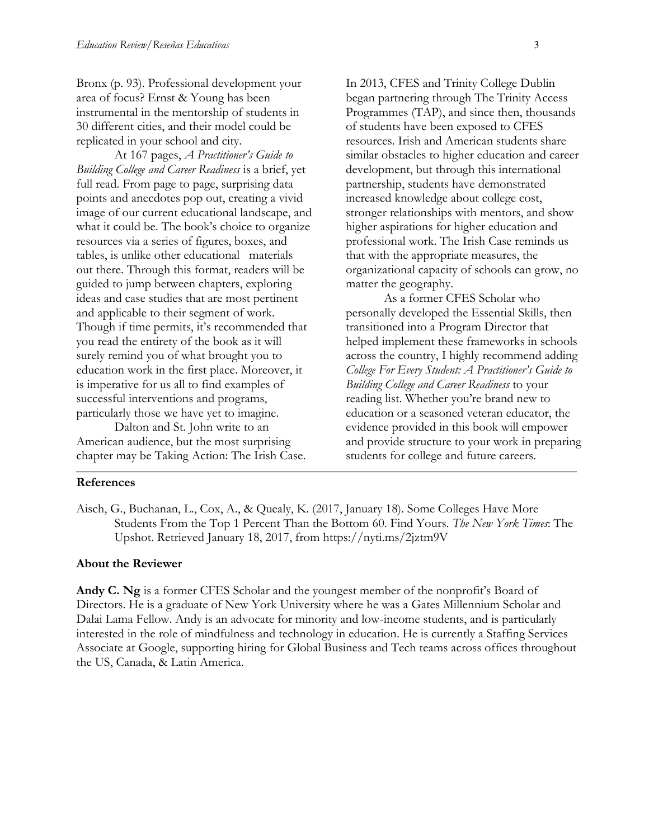Bronx (p. 93). Professional development your area of focus? Ernst & Young has been instrumental in the mentorship of students in 30 different cities, and their model could be replicated in your school and city.

At 167 pages, *A Practitioner's Guide to Building College and Career Readiness* is a brief, yet full read. From page to page, surprising data points and anecdotes pop out, creating a vivid image of our current educational landscape, and what it could be. The book's choice to organize resources via a series of figures, boxes, and tables, is unlike other educational materials out there. Through this format, readers will be guided to jump between chapters, exploring ideas and case studies that are most pertinent and applicable to their segment of work. Though if time permits, it's recommended that you read the entirety of the book as it will surely remind you of what brought you to education work in the first place. Moreover, it is imperative for us all to find examples of successful interventions and programs, particularly those we have yet to imagine.

Dalton and St. John write to an American audience, but the most surprising chapter may be Taking Action: The Irish Case. In 2013, CFES and Trinity College Dublin began partnering through The Trinity Access Programmes (TAP), and since then, thousands of students have been exposed to CFES resources. Irish and American students share similar obstacles to higher education and career development, but through this international partnership, students have demonstrated increased knowledge about college cost, stronger relationships with mentors, and show higher aspirations for higher education and professional work. The Irish Case reminds us that with the appropriate measures, the organizational capacity of schools can grow, no matter the geography.

As a former CFES Scholar who personally developed the Essential Skills, then transitioned into a Program Director that helped implement these frameworks in schools across the country, I highly recommend adding *College For Every Student: A Practitioner's Guide to Building College and Career Readiness* to your reading list. Whether you're brand new to education or a seasoned veteran educator, the evidence provided in this book will empower and provide structure to your work in preparing students for college and future careers.

## **References**

Aisch, G., Buchanan, L., Cox, A., & Quealy, K. (2017, January 18). Some Colleges Have More Students From the Top 1 Percent Than the Bottom 60. Find Yours. *The New York Times*: The Upshot. Retrieved January 18, 2017, from<https://nyti.ms/2jztm9V>

## **About the Reviewer**

**Andy C. Ng** is a former CFES Scholar and the youngest member of the nonprofit's Board of Directors. He is a graduate of New York University where he was a Gates Millennium Scholar and Dalai Lama Fellow. Andy is an advocate for minority and low-income students, and is particularly interested in the role of mindfulness and technology in education. He is currently a Staffing Services Associate at Google, supporting hiring for Global Business and Tech teams across offices throughout the US, Canada, & Latin America.